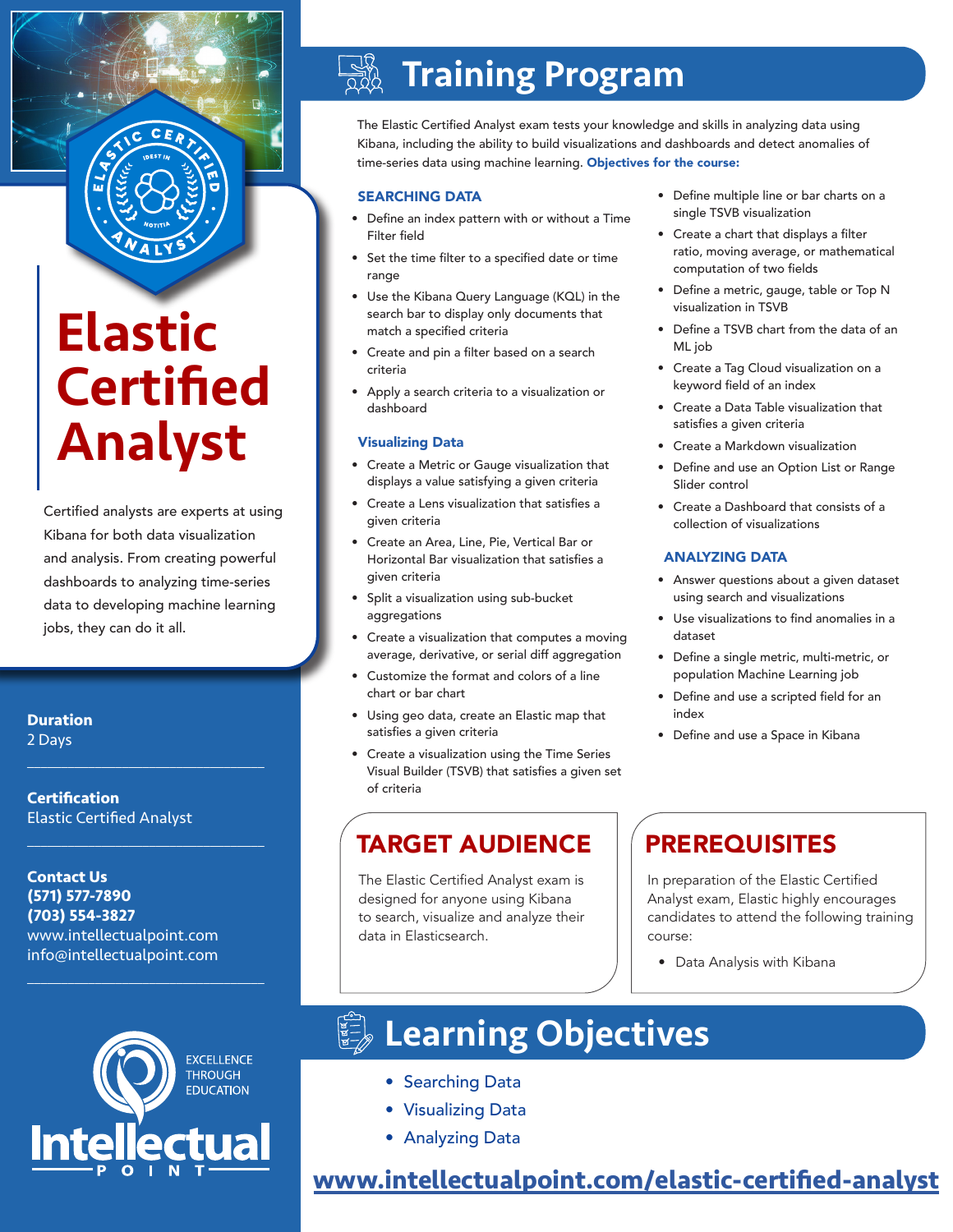# Elastic **Certified** Analyst

Certified analysts are experts at using Kibana for both data visualization and analysis. From creating powerful dashboards to analyzing time-series data to developing machine learning jobs, they can do it all.

## **Duration**

2 Days

**Certification** Elastic Certified Analyst

 $\mathcal{L}_\text{max}$  and  $\mathcal{L}_\text{max}$  and  $\mathcal{L}_\text{max}$  and  $\mathcal{L}_\text{max}$ 

 $\mathcal{L}_\text{max}$  , and the set of the set of the set of the set of the set of the set of the set of the set of the set of the set of the set of the set of the set of the set of the set of the set of the set of the set of the

 $\mathcal{L}_\text{max}$  , and the set of the set of the set of the set of the set of the set of the set of the set of the set of the set of the set of the set of the set of the set of the set of the set of the set of the set of the

**Contact Us (571) 577-7890 (703) 554-3827** www.intellectualpoint.com info@intellectualpoint.com

# $\frac{1}{2}$ Training Program

The Elastic Certified Analyst exam tests your knowledge and skills in analyzing data using Kibana, including the ability to build visualizations and dashboards and detect anomalies of time-series data using machine learning. Objectives for the course:

## SEARCHING DATA

- Define an index pattern with or without a Time Filter field
- Set the time filter to a specified date or time range
- Use the Kibana Query Language (KQL) in the search bar to display only documents that match a specified criteria
- Create and pin a filter based on a search criteria
- Apply a search criteria to a visualization or dashboard

### Visualizing Data

- Create a Metric or Gauge visualization that displays a value satisfying a given criteria
- Create a Lens visualization that satisfies a given criteria
- Create an Area, Line, Pie, Vertical Bar or Horizontal Bar visualization that satisfies a given criteria
- Split a visualization using sub-bucket aggregations
- Create a visualization that computes a moving average, derivative, or serial diff aggregation
- Customize the format and colors of a line chart or bar chart
- Using geo data, create an Elastic map that satisfies a given criteria
- Create a visualization using the Time Series Visual Builder (TSVB) that satisfies a given set of criteria

## TARGET AUDIENCE | PREREQUISITES

The Elastic Certified Analyst exam is designed for anyone using Kibana to search, visualize and analyze their data in Elasticsearch.

- Define multiple line or bar charts on a single TSVB visualization
- Create a chart that displays a filter ratio, moving average, or mathematical computation of two fields
- Define a metric, gauge, table or Top N visualization in TSVB
- Define a TSVB chart from the data of an ML job
- Create a Tag Cloud visualization on a keyword field of an index
- Create a Data Table visualization that satisfies a given criteria
- Create a Markdown visualization
- Define and use an Option List or Range Slider control
- Create a Dashboard that consists of a collection of visualizations

### ANALYZING DATA

- Answer questions about a given dataset using search and visualizations
- Use visualizations to find anomalies in a dataset
- Define a single metric, multi-metric, or population Machine Learning job
- Define and use a scripted field for an index
- Define and use a Space in Kibana

In preparation of the Elastic Certified Analyst exam, Elastic highly encourages candidates to attend the following training course:

• Data Analysis with Kibana



# **ED Learning Objectives**

- Searching Data
- Visualizing Data
- Analyzing Data

**[www.intellectualpoint.com/](https://www.intellectualpoint.com/product/elastic-certified-analyst/)elastic-certified-analyst**